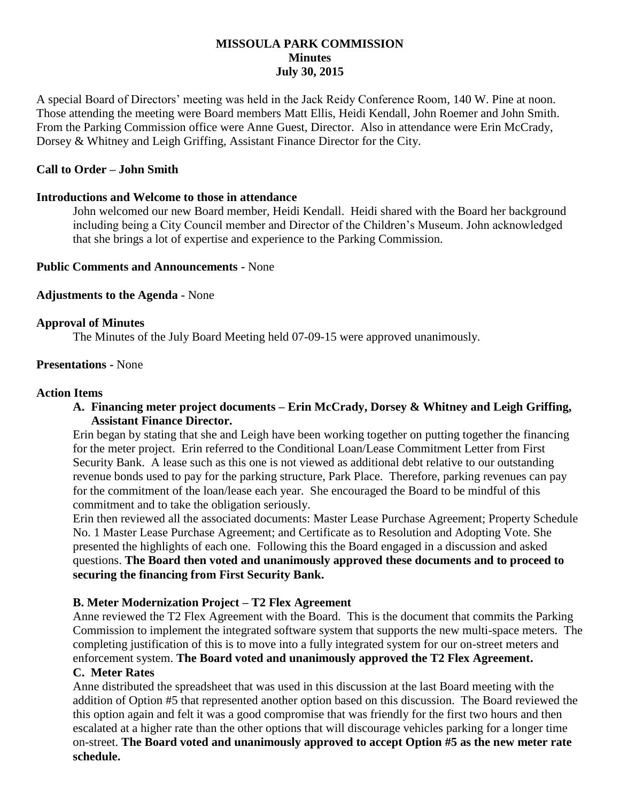# **MISSOULA PARK COMMISSION Minutes July 30, 2015**

A special Board of Directors' meeting was held in the Jack Reidy Conference Room, 140 W. Pine at noon. Those attending the meeting were Board members Matt Ellis, Heidi Kendall, John Roemer and John Smith. From the Parking Commission office were Anne Guest, Director. Also in attendance were Erin McCrady, Dorsey & Whitney and Leigh Griffing, Assistant Finance Director for the City.

# **Call to Order – John Smith**

## **Introductions and Welcome to those in attendance**

John welcomed our new Board member, Heidi Kendall. Heidi shared with the Board her background including being a City Council member and Director of the Children's Museum. John acknowledged that she brings a lot of expertise and experience to the Parking Commission.

### **Public Comments and Announcements -** None

## **Adjustments to the Agenda -** None

### **Approval of Minutes**

The Minutes of the July Board Meeting held 07-09-15 were approved unanimously.

### **Presentations -** None

### **Action Items**

# **A. Financing meter project documents – Erin McCrady, Dorsey & Whitney and Leigh Griffing, Assistant Finance Director.**

Erin began by stating that she and Leigh have been working together on putting together the financing for the meter project. Erin referred to the Conditional Loan/Lease Commitment Letter from First Security Bank. A lease such as this one is not viewed as additional debt relative to our outstanding revenue bonds used to pay for the parking structure, Park Place. Therefore, parking revenues can pay for the commitment of the loan/lease each year. She encouraged the Board to be mindful of this commitment and to take the obligation seriously.

Erin then reviewed all the associated documents: Master Lease Purchase Agreement; Property Schedule No. 1 Master Lease Purchase Agreement; and Certificate as to Resolution and Adopting Vote. She presented the highlights of each one. Following this the Board engaged in a discussion and asked questions. **The Board then voted and unanimously approved these documents and to proceed to securing the financing from First Security Bank.**

#### **B. Meter Modernization Project – T2 Flex Agreement**

Anne reviewed the T2 Flex Agreement with the Board. This is the document that commits the Parking Commission to implement the integrated software system that supports the new multi-space meters. The completing justification of this is to move into a fully integrated system for our on-street meters and enforcement system. **The Board voted and unanimously approved the T2 Flex Agreement. C. Meter Rates**

Anne distributed the spreadsheet that was used in this discussion at the last Board meeting with the addition of Option #5 that represented another option based on this discussion. The Board reviewed the this option again and felt it was a good compromise that was friendly for the first two hours and then escalated at a higher rate than the other options that will discourage vehicles parking for a longer time on-street. **The Board voted and unanimously approved to accept Option #5 as the new meter rate schedule.**